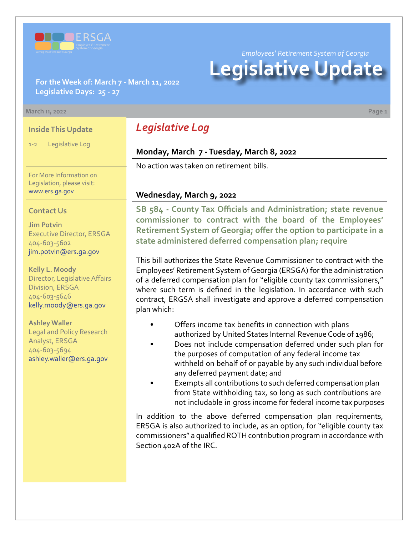

*Employees' Retirement System of Georgia*

# **Legislative Update**

**For the Week of: March 7 - March 11, 2022 Legislative Days: 25 - 27**

#### **March 11, 2022 Page 1**

#### **Inside This Update**

1-2 Legislative Log

For More Information on Legislation, please visit: [www.ers.ga.gov](http://www.ers.ga.gov/default.aspx)

#### **Contact Us**

**Jim Potvin** Executive Director, ERSGA 404-603-5602 jim.potvin@ers.ga.gov

**Kelly L. Moody** Director, Legislative Affairs Division, ERSGA 404-603-5646 kelly.moody@ers.ga.gov

**Ashley Waller** Legal and Policy Research Analyst, ERSGA 404-603-5694 ashley.waller@ers.ga.gov

## *Legislative Log*

#### **Monday, March 7 - Tuesday, March 8, 2022**

No action was taken on retirement bills.

#### **Wednesday, March 9, 2022**

**SB 584 - County Tax Officials and Administration; state revenue [commissioner to contract with the board of the Employees'](https://www.legis.ga.gov/legislation/62515)  Retirement System of Georgia; offer the option to participate in a state administered deferred compensation plan; require**

This bill authorizes the State Revenue Commissioner to contract with the Employees' Retirement System of Georgia (ERSGA) for the administration of a deferred compensation plan for "eligible county tax commissioners," where such term is defined in the legislation. In accordance with such contract, ERGSA shall investigate and approve a deferred compensation plan which:

- Offers income tax benefits in connection with plans authorized by United States Internal Revenue Code of 1986;
- Does not include compensation deferred under such plan for the purposes of computation of any federal income tax withheld on behalf of or payable by any such individual before any deferred payment date; and
- Exempts all contributions to such deferred compensation plan from State withholding tax, so long as such contributions are not includable in gross income for federal income tax purposes

In addition to the above deferred compensation plan requirements, ERSGA is also authorized to include, as an option, for "eligible county tax commissioners" a qualified ROTH contribution program in accordance with Section 402A of the IRC.